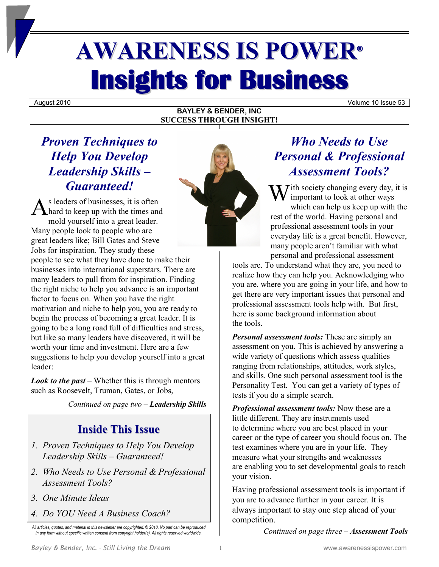# **AWARENESS IS POWER® Insights for Business**

August 2010 Volume 10 Issue 53

# **BAYLEY & BENDER, INC SUCCESS THROUGH INSIGHT!**

# *Proven Techniques to Help You Develop Leadership Skills – Guaranteed!*

s leaders of businesses, it is often hard to keep up with the times and mold yourself into a great leader. Many people look to people who are great leaders like; Bill Gates and Steve Jobs for inspiration. They study these people to see what they have done to make their businesses into international superstars. There are many leaders to pull from for inspiration. Finding the right niche to help you advance is an important factor to focus on. When you have the right motivation and niche to help you, you are ready to begin the process of becoming a great leader. It is going to be a long road full of difficulties and stress, but like so many leaders have discovered, it will be worth your time and investment. Here are a few suggestions to help you develop yourself into a great leader: Guaranteed!

*Look to the past* – Whether this is through mentors such as Roosevelt, Truman, Gates, or Jobs,

*Continued on page two – Leadership Skills*

# **Inside This Issue**

- *1. Proven Techniques to Help You Develop Leadership Skills – Guaranteed!*
- *2. Who Needs to Use Personal & Professional Assessment Tools?*
- *3. One Minute Ideas*
- *4. Do YOU Need A Business Coach?*

*All articles, quotes, and material in this newsletter are copyrighted. © 2010. No part can be reproduced in any form without specific written consent from copyright holder(s). All rights reserved worldwide.*



 $\overline{I}$  *T*ith society changing every day, it is important to look at other ways which can help us keep up with the rest of the world. Having personal and professional assessment tools in your everyday life is a great benefit. However, many people aren't familiar with what personal and professional assessment

tools are. To understand what they are, you need to realize how they can help you. Acknowledging who you are, where you are going in your life, and how to get there are very important issues that personal and professional assessment tools help with. But first, here is some background information about the tools.

*Personal assessment tools:* These are simply an assessment on you. This is achieved by answering a wide variety of questions which assess qualities ranging from relationships, attitudes, work styles, and skills. One such personal assessment tool is the Personality Test. You can get a variety of types of tests if you do a simple search.

*Professional assessment tools:* Now these are a little different. They are instruments used to determine where you are best placed in your career or the type of career you should focus on. The test examines where you are in your life. They measure what your strengths and weaknesses are enabling you to set developmental goals to reach your vision.

Having professional assessment tools is important if you are to advance further in your career. It is always important to stay one step ahead of your competition.

*Continued on page three – Assessment Tools*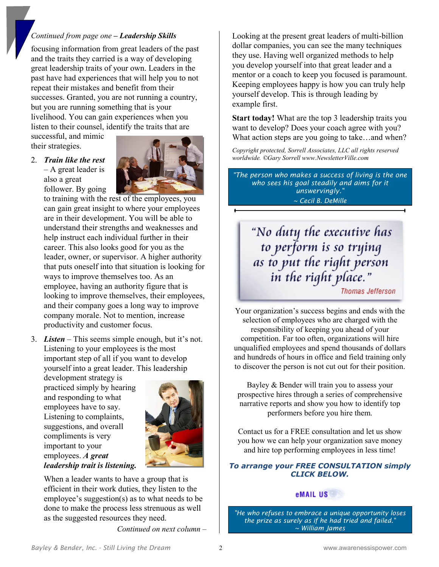## *Continued from page one – Leadership Skills*

focusing information from great leaders of the past and the traits they carried is a way of developing great leadership traits of your own. Leaders in the past have had experiences that will help you to not repeat their mistakes and benefit from their successes. Granted, you are not running a country, but you are running something that is your livelihood. You can gain experiences when you listen to their counsel, identify the traits that are

successful, and mimic their strategies.

#### 2. *Train like the rest*   $-$  A great leader is also a great

follower. By going



to training with the rest of the employees, you can gain great insight to where your employees are in their development. You will be able to understand their strengths and weaknesses and help instruct each individual further in their career. This also looks good for you as the leader, owner, or supervisor. A higher authority that puts oneself into that situation is looking for ways to improve themselves too. As an employee, having an authority figure that is looking to improve themselves, their employees, and their company goes a long way to improve company morale. Not to mention, increase productivity and customer focus.

3. *Listen* – This seems simple enough, but it's not. Listening to your employees is the most important step of all if you want to develop yourself into a great leader. This leadership

development strategy is practiced simply by hearing and responding to what employees have to say. Listening to complaints, suggestions, and overall compliments is very important to your employees. *A great leadership trait is listening.*



When a leader wants to have a group that is efficient in their work duties, they listen to the employee's suggestion(s) as to what needs to be done to make the process less strenuous as well as the suggested resources they need.

*Continued on next column –*

Looking at the present great leaders of multi-billion dollar companies, you can see the many techniques they use. Having well organized methods to help you develop yourself into that great leader and a mentor or a coach to keep you focused is paramount. Keeping employees happy is how you can truly help yourself develop. This is through leading by example first.

**Start today!** What are the top 3 leadership traits you want to develop? Does your coach agree with you? What action steps are you going to take…and when?

*Copyright protected, Sorrell Associates, LLC all rights reserved worldwide. ©Gary Sorrell www.NewsletterVille.com* 

*"The person who makes a success of living is the one who sees his goal steadily and aims for it unswervingly." ~ Cecil B. DeMille*

"No duty the executive has to perform is so trying<br>as to put the right person<br>in the right place." **Thomas Jefferson** 

Your organization's success begins and ends with the selection of employees who are charged with the responsibility of keeping you ahead of your competition. Far too often, organizations will hire unqualified employees and spend thousands of dollars and hundreds of hours in office and field training only to discover the person is not cut out for their position.

Bayley & Bender will train you to assess your prospective hires through a series of comprehensive narrative reports and show you how to identify top performers before you hire them.

Contact us for a FREE consultation and let us show you how we can help your organization save money and hire top performing employees in less time!

#### *To arrange your FREE CONSULTATION simply CLICK BELOW.*

# eMAIL US

*"He who refuses to embrace a unique opportunity loses the prize as surely as if he had tried and failed." ~ William James*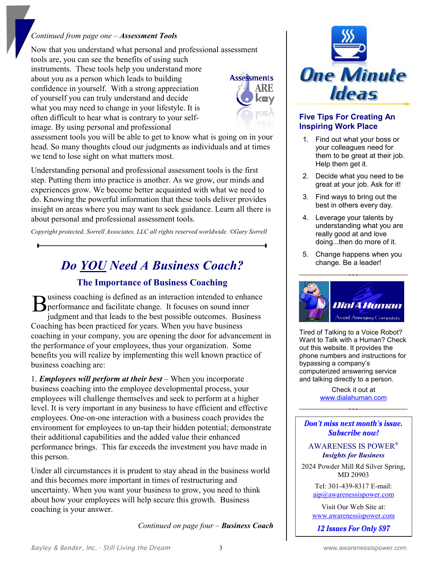### *Continued from page one – Assessment Tools*

Now that you understand what personal and professional assessment tools are, you can see the benefits of using such instruments. These tools help you understand more about you as a person which leads to building confidence in yourself. With a strong appreciation of yourself you can truly understand and decide what you may need to change in your lifestyle. It is often difficult to hear what is contrary to your selfimage. By using personal and professional



assessment tools you will be able to get to know what is going on in your head. So many thoughts cloud our judgments as individuals and at times we tend to lose sight on what matters most.

Understanding personal and professional assessment tools is the first step. Putting them into practice is another. As we grow, our minds and experiences grow. We become better acquainted with what we need to do. Knowing the powerful information that these tools deliver provides insight on areas where you may want to seek guidance. Learn all there is about personal and professional assessment tools.

*Copyright protected, Sorrell Associates, LLC all rights reserved worldwide. ©Gary Sorrell* 

# *Do YOU Need A Business Coach?*

# **The Importance of Business Coaching**

usiness coaching is defined as an interaction intended to enhance performance and facilitate change. It focuses on sound inner judgment and that leads to the best possible outcomes. Business Coaching has been practiced for years. When you have business coaching in your company, you are opening the door for advancement in the performance of your employees, thus your organization. Some benefits you will realize by implementing this well known practice of business coaching are: B

1. *Employees will perform at their best* – When you incorporate business coaching into the employee developmental process, your employees will challenge themselves and seek to perform at a higher level. It is very important in any business to have efficient and effective employees. One-on-one interaction with a business coach provides the environment for employees to un-tap their hidden potential; demonstrate their additional capabilities and the added value their enhanced performance brings. This far exceeds the investment you have made in this person.

Under all circumstances it is prudent to stay ahead in the business world and this becomes more important in times of restructuring and uncertainty. When you want your business to grow, you need to think about how your employees will help secure this growth. Business coaching is your answer.

*Continued on page four – Business Coach*



## **Five Tips For Creating An Inspiring Work Place**

- 1. Find out what your boss or your colleagues need for them to be great at their job. Help them get it.
- 2. Decide what you need to be great at your job. Ask for it!
- 3. Find ways to bring out the best in others every day.
- 4. Leverage your talents by understanding what you are really good at and love doing...then do more of it.
- 5. Change happens when you change. Be a leader!



Tired of Talking to a Voice Robot? Want to Talk with a Human? Check out this website. It provides the phone numbers and instructions for bypassing a company's computerized answering service and talking directly to a person.

> Check it out at [www.dialahuman.com](http://www.dialahuman.com/)

Don't miss next month's issue. Subscribe now!

#### AWARENESS IS POWER® *Insights for Business*

2024 Powder Mill Rd Silver Spring, MD 20903

> Tel: 301-439-8317 E-mail: [aip@awarenessispower.com](mailto:aip@awarenessispower.com)

Visit Our Web Site at: [www.awarenessispower.com](http://www.awarenessispower.com/)

12 Issues For Only \$97